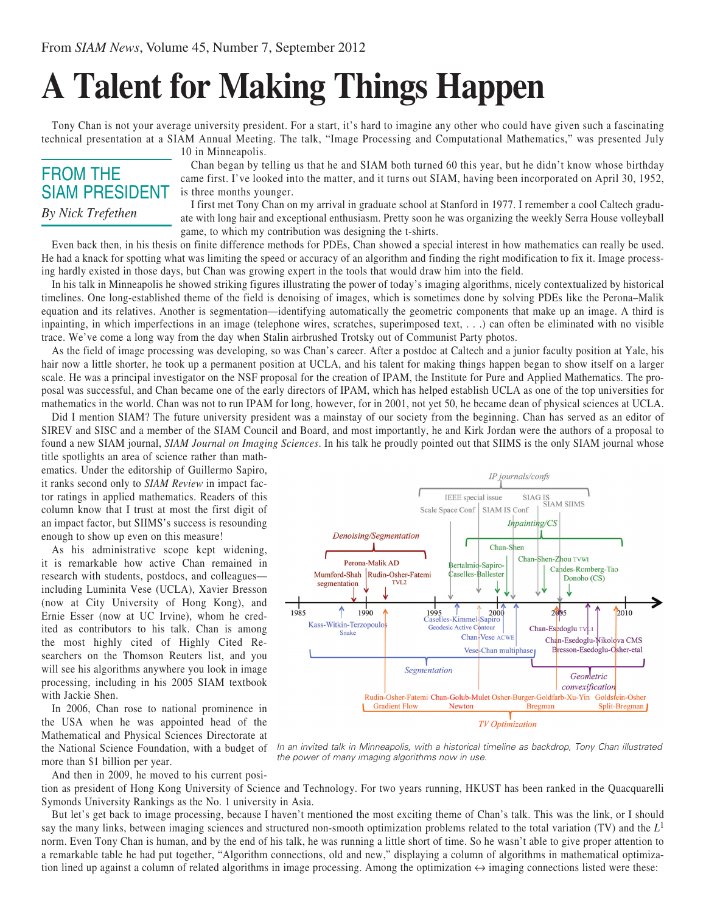## **A Talent for Making Things Happen**

Tony Chan is not your average university president. For a start, it's hard to imagine any other who could have given such a fascinating technical presentation at a SIAM Annual Meeting. The talk, "Image Processing and Computational Mathematics," was presented July 10 in Minneapolis.

## FROM THE SIAM PRESIDENT *By Nick Trefethen*

Chan began by telling us that he and SIAM both turned 60 this year, but he didn't know whose birthday came first. I've looked into the matter, and it turns out SIAM, having been incorporated on April 30, 1952, is three months younger.

I first met Tony Chan on my arrival in graduate school at Stanford in 1977. I remember a cool Caltech graduate with long hair and exceptional enthusiasm. Pretty soon he was organizing the weekly Serra House volleyball game, to which my contribution was designing the t-shirts.

Even back then, in his thesis on finite difference methods for PDEs, Chan showed a special interest in how mathematics can really be used. He had a knack for spotting what was limiting the speed or accuracy of an algorithm and finding the right modification to fix it. Image processing hardly existed in those days, but Chan was growing expert in the tools that would draw him into the field.

In his talk in Minneapolis he showed striking figures illustrating the power of today's imaging algorithms, nicely contextualized by historical timelines. One long-established theme of the field is denoising of images, which is sometimes done by solving PDEs like the Perona–Malik equation and its relatives. Another is segmentation—identifying automatically the geometric components that make up an image. A third is inpainting, in which imperfections in an image (telephone wires, scratches, superimposed text, . . .) can often be eliminated with no visible trace. We've come a long way from the day when Stalin airbrushed Trotsky out of Communist Party photos.

As the field of image processing was developing, so was Chan's career. After a postdoc at Caltech and a junior faculty position at Yale, his hair now a little shorter, he took up a permanent position at UCLA, and his talent for making things happen began to show itself on a larger scale. He was a principal investigator on the NSF proposal for the creation of IPAM, the Institute for Pure and Applied Mathematics. The proposal was successful, and Chan became one of the early directors of IPAM, which has helped establish UCLA as one of the top universities for mathematics in the world. Chan was not to run IPAM for long, however, for in 2001, not yet 50, he became dean of physical sciences at UCLA.

Did I mention SIAM? The future university president was a mainstay of our society from the beginning. Chan has served as an editor of SIREV and SISC and a member of the SIAM Council and Board, and most importantly, he and Kirk Jordan were the authors of a proposal to found a new SIAM journal, *SIAM Journal on Imaging Sciences*. In his talk he proudly pointed out that SIIMS is the only SIAM journal whose

title spotlights an area of science rather than mathematics. Under the editorship of Guillermo Sapiro, it ranks second only to *SIAM Review* in impact factor ratings in applied mathematics. Readers of this column know that I trust at most the first digit of an impact factor, but SIIMS's success is resounding enough to show up even on this measure!

As his administrative scope kept widening, it is remarkable how active Chan remained in research with students, postdocs, and colleagues including Luminita Vese (UCLA), Xavier Bresson (now at City University of Hong Kong), and Ernie Esser (now at UC Irvine), whom he credited as contributors to his talk. Chan is among the most highly cited of Highly Cited Researchers on the Thomson Reuters list, and you will see his algorithms anywhere you look in image. processing, including in his 2005 SIAM textbook with Jackie Shen.

In 2006, Chan rose to national prominence in the USA when he was appointed head of the Mathematical and Physical Sciences Directorate at the National Science Foundation, with a budget of more than \$1 billion per year.

IP journals/confs SIAG IS<br>nf | SIAM SIIMS IEEE special issue Scale Space Conf | SIAM IS Conf Inpainting/CS Denoising/Segmentation Chan-Shen Chan hen-Zhou TVWI Perona-Malik AD Bertalmio-Sapiro-Candes-Romberg-Tao Mumford-Shah Rudin-Osher-Fatemi Caselles-Ballester Donoho (CS) segmentation TVL<sub>2</sub> 1995<br>Caselles-Kimmel-Sapiro<br>Geodesic Active Contour 1985 ↑ 1990  $2000$  $2005$  $2010$ Kass-Witkin-Terzopoulos Geodesic Active Contour Chan-Esedoglu TV<sub>-1</sub> **Snake** Chan-Vese ACWE Chan-Esedoglu-Nikolova CMS Vese-Chan multiphase Bresson-Esedoglu-Osher-etal Segmentation Geometric convexification Rudin-Osher-Fatemi Chan-Golub-Mulet Osher-Burger-Goldfarb-Xu-Yin Goldstein-Osher **Bregman Gradient Flow** Newton Split-Bregman

**TV** Optimization

*In an invited talk in Minneapolis, with a historical timeline as backdrop, Tony Chan illustrated the power of many imaging algorithms now in use.*

And then in 2009, he moved to his current posi-

tion as president of Hong Kong University of Science and Technology. For two years running, HKUST has been ranked in the Quacquarelli Symonds University Rankings as the No. 1 university in Asia.

But let's get back to image processing, because I haven't mentioned the most exciting theme of Chan's talk. This was the link, or I should say the many links, between imaging sciences and structured non-smooth optimization problems related to the total variation (TV) and the  $L<sup>1</sup>$ norm. Even Tony Chan is human, and by the end of his talk, he was running a little short of time. So he wasn't able to give proper attention to a remarkable table he had put together, "Algorithm connections, old and new," displaying a column of algorithms in mathematical optimization lined up against a column of related algorithms in image processing. Among the optimization  $\leftrightarrow$  imaging connections listed were these: